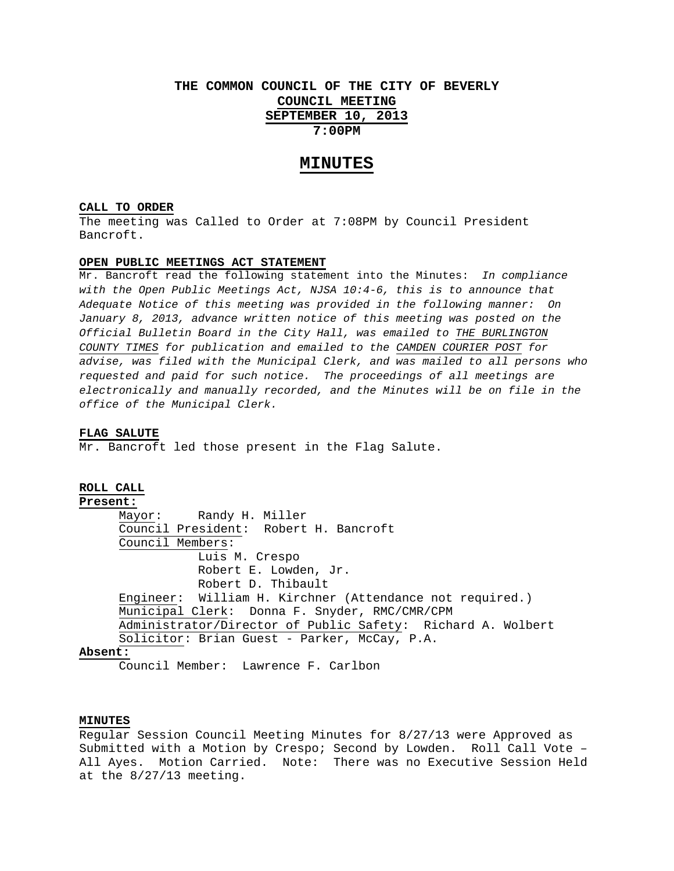# **THE COMMON COUNCIL OF THE CITY OF BEVERLY COUNCIL MEETING SEPTEMBER 10, 2013 7:00PM**

# **MINUTES**

#### **CALL TO ORDER**

The meeting was Called to Order at 7:08PM by Council President Bancroft.

## **OPEN PUBLIC MEETINGS ACT STATEMENT**

Mr. Bancroft read the following statement into the Minutes: *In compliance with the Open Public Meetings Act, NJSA 10:4-6, this is to announce that Adequate Notice of this meeting was provided in the following manner: On January 8, 2013, advance written notice of this meeting was posted on the Official Bulletin Board in the City Hall, was emailed to THE BURLINGTON COUNTY TIMES for publication and emailed to the CAMDEN COURIER POST for advise, was filed with the Municipal Clerk, and was mailed to all persons who requested and paid for such notice. The proceedings of all meetings are electronically and manually recorded, and the Minutes will be on file in the office of the Municipal Clerk.* 

### **FLAG SALUTE**

Mr. Bancroft led those present in the Flag Salute.

# **ROLL CALL**

**Present:**

 Mayor: Randy H. Miller Council President: Robert H. Bancroft Council Members: Luis M. Crespo Robert E. Lowden, Jr. Robert D. Thibault Engineer: William H. Kirchner (Attendance not required.) Municipal Clerk: Donna F. Snyder, RMC/CMR/CPM Administrator/Director of Public Safety: Richard A. Wolbert Solicitor: Brian Guest - Parker, McCay, P.A.

#### **Absent:**

Council Member: Lawrence F. Carlbon

# **MINUTES**

Regular Session Council Meeting Minutes for 8/27/13 were Approved as Submitted with a Motion by Crespo; Second by Lowden. Roll Call Vote – All Ayes. Motion Carried. Note: There was no Executive Session Held at the 8/27/13 meeting.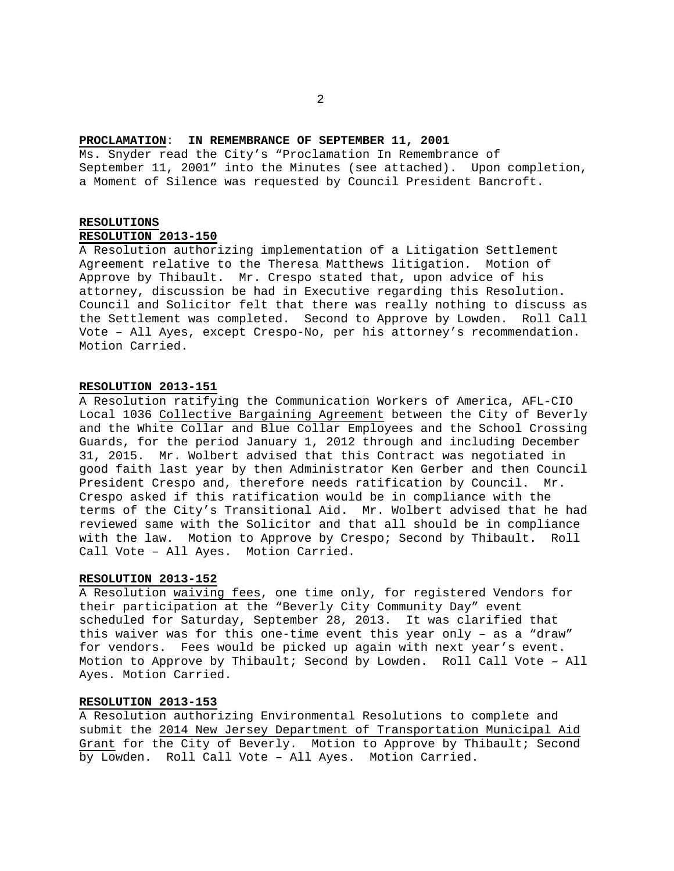## **PROCLAMATION**: **IN REMEMBRANCE OF SEPTEMBER 11, 2001**

Ms. Snyder read the City's "Proclamation In Remembrance of September 11, 2001" into the Minutes (see attached). Upon completion, a Moment of Silence was requested by Council President Bancroft.

# **RESOLUTIONS**

# **RESOLUTION 2013-150**

A Resolution authorizing implementation of a Litigation Settlement Agreement relative to the Theresa Matthews litigation. Motion of Approve by Thibault. Mr. Crespo stated that, upon advice of his attorney, discussion be had in Executive regarding this Resolution. Council and Solicitor felt that there was really nothing to discuss as the Settlement was completed. Second to Approve by Lowden. Roll Call Vote – All Ayes, except Crespo-No, per his attorney's recommendation. Motion Carried.

# **RESOLUTION 2013-151**

A Resolution ratifying the Communication Workers of America, AFL-CIO Local 1036 Collective Bargaining Agreement between the City of Beverly and the White Collar and Blue Collar Employees and the School Crossing Guards, for the period January 1, 2012 through and including December 31, 2015. Mr. Wolbert advised that this Contract was negotiated in good faith last year by then Administrator Ken Gerber and then Council President Crespo and, therefore needs ratification by Council. Mr. Crespo asked if this ratification would be in compliance with the terms of the City's Transitional Aid. Mr. Wolbert advised that he had reviewed same with the Solicitor and that all should be in compliance with the law. Motion to Approve by Crespo; Second by Thibault. Roll Call Vote – All Ayes. Motion Carried.

## **RESOLUTION 2013-152**

A Resolution waiving fees, one time only, for registered Vendors for their participation at the "Beverly City Community Day" event scheduled for Saturday, September 28, 2013. It was clarified that this waiver was for this one-time event this year only – as a "draw" for vendors. Fees would be picked up again with next year's event. Motion to Approve by Thibault; Second by Lowden. Roll Call Vote – All Ayes. Motion Carried.

#### **RESOLUTION 2013-153**

A Resolution authorizing Environmental Resolutions to complete and submit the 2014 New Jersey Department of Transportation Municipal Aid Grant for the City of Beverly. Motion to Approve by Thibault; Second by Lowden. Roll Call Vote – All Ayes. Motion Carried.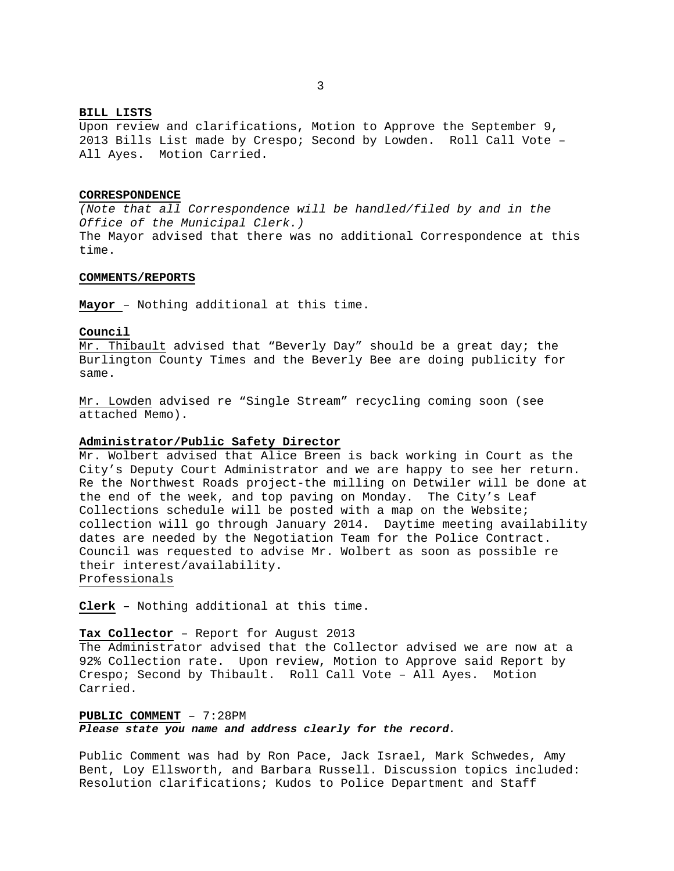# **BILL LISTS**

Upon review and clarifications, Motion to Approve the September 9, 2013 Bills List made by Crespo; Second by Lowden. Roll Call Vote – All Ayes. Motion Carried.

#### **CORRESPONDENCE**

*(Note that all Correspondence will be handled/filed by and in the Office of the Municipal Clerk.)*  The Mayor advised that there was no additional Correspondence at this time.

## **COMMENTS/REPORTS**

**Mayor** – Nothing additional at this time.

### **Council**

Mr. Thibault advised that "Beverly Day" should be a great day; the Burlington County Times and the Beverly Bee are doing publicity for same.

Mr. Lowden advised re "Single Stream" recycling coming soon (see attached Memo).

## **Administrator/Public Safety Director**

Mr. Wolbert advised that Alice Breen is back working in Court as the City's Deputy Court Administrator and we are happy to see her return. Re the Northwest Roads project-the milling on Detwiler will be done at the end of the week, and top paving on Monday. The City's Leaf Collections schedule will be posted with a map on the Website; collection will go through January 2014. Daytime meeting availability dates are needed by the Negotiation Team for the Police Contract. Council was requested to advise Mr. Wolbert as soon as possible re their interest/availability. Professionals

**Clerk** – Nothing additional at this time.

## **Tax Collector** – Report for August 2013

The Administrator advised that the Collector advised we are now at a 92% Collection rate. Upon review, Motion to Approve said Report by Crespo; Second by Thibault. Roll Call Vote – All Ayes. Motion Carried.

**PUBLIC COMMENT** – 7:28PM *Please state you name and address clearly for the record.* 

Public Comment was had by Ron Pace, Jack Israel, Mark Schwedes, Amy Bent, Loy Ellsworth, and Barbara Russell. Discussion topics included: Resolution clarifications; Kudos to Police Department and Staff